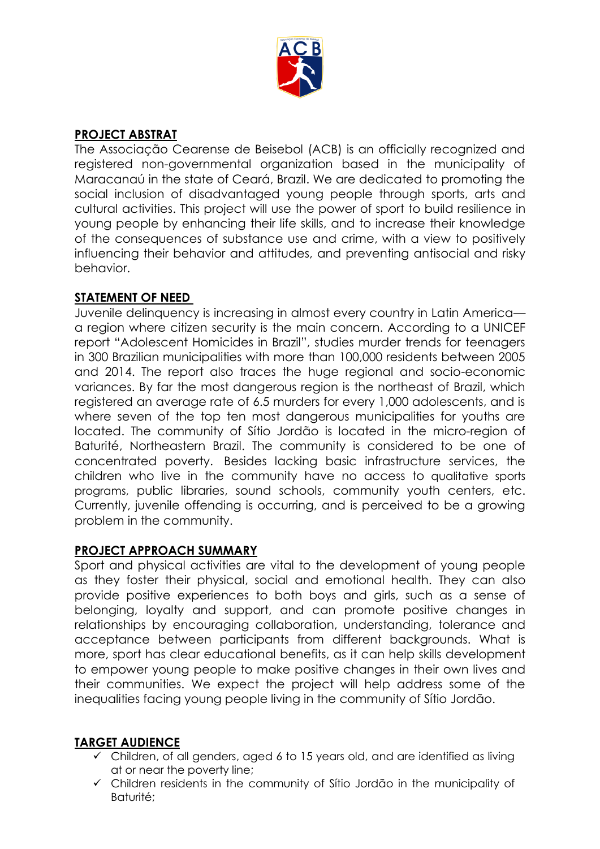

# **PROJECT ABSTRAT**

The Associação Cearense de Beisebol (ACB) is an officially recognized and registered non-governmental organization based in the municipality of Maracanaú in the state of Ceará, Brazil. We are dedicated to promoting the social inclusion of disadvantaged young people through sports, arts and cultural activities. This project will use the power of sport to build resilience in young people by enhancing their life skills, and to increase their knowledge of the consequences of substance use and crime, with a view to positively influencing their behavior and attitudes, and preventing antisocial and risky behavior.

# **STATEMENT OF NEED**

Juvenile delinquency is increasing in almost every country in Latin America a region where citizen security is the main concern. According to a UNICEF report "Adolescent Homicides in Brazil", studies murder trends for teenagers in 300 Brazilian municipalities with more than 100,000 residents between 2005 and 2014. The report also traces the huge regional and socio-economic variances. By far the most dangerous region is the northeast of Brazil, which registered an average rate of 6.5 murders for every 1,000 adolescents, and is where seven of the top ten most dangerous municipalities for youths are located. The community of Sítio Jordão is located in the micro-region of Baturité, Northeastern Brazil. The community is considered to be one of concentrated poverty. Besides lacking basic infrastructure services, the children who live in the community have no access to qualitative sports programs, public libraries, sound schools, community youth centers, etc. Currently, juvenile offending is occurring, and is perceived to be a growing problem in the community.

### **PROJECT APPROACH SUMMARY**

Sport and physical activities are vital to the development of young people as they foster their physical, social and emotional health. They can also provide positive experiences to both boys and girls, such as a sense of belonging, loyalty and support, and can promote positive changes in relationships by encouraging collaboration, understanding, tolerance and acceptance between participants from different backgrounds. What is more, sport has clear educational benefits, as it can help skills development to empower young people to make positive changes in their own lives and their communities. We expect the project will help address some of the inequalities facing young people living in the community of Sítio Jordão.

# **TARGET AUDIENCE**

- $\checkmark$  Children, of all genders, aged 6 to 15 years old, and are identified as living at or near the poverty line;
- Children residents in the community of Sítio Jordão in the municipality of Baturité;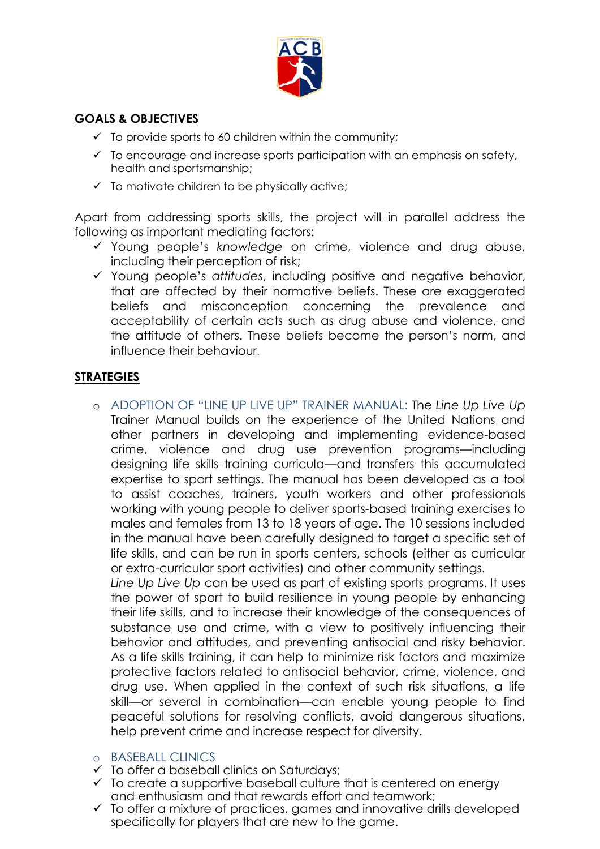

# **GOALS & OBJECTIVES**

- $\checkmark$  To provide sports to 60 children within the community;
- $\checkmark$  To encourage and increase sports participation with an emphasis on safety, health and sportsmanship;
- $\checkmark$  To motivate children to be physically active;

Apart from addressing sports skills, the project will in parallel address the following as important mediating factors:

- Young people's *knowledge* on crime, violence and drug abuse, including their perception of risk;
- Young people's *attitudes*, including positive and negative behavior, that are affected by their normative beliefs. These are exaggerated beliefs and misconception concerning the prevalence and acceptability of certain acts such as drug abuse and violence, and the attitude of others. These beliefs become the person's norm, and influence their behaviour.

# **STRATEGIES**

o ADOPTION OF "LINE UP LIVE UP" TRAINER MANUAL: The *Line Up Live Up*  Trainer Manual builds on the experience of the United Nations and other partners in developing and implementing evidence-based crime, violence and drug use prevention programs—including designing life skills training curricula—and transfers this accumulated expertise to sport settings. The manual has been developed as a tool to assist coaches, trainers, youth workers and other professionals working with young people to deliver sports-based training exercises to males and females from 13 to 18 years of age. The 10 sessions included in the manual have been carefully designed to target a specific set of life skills, and can be run in sports centers, schools (either as curricular or extra-curricular sport activities) and other community settings.

*Line Up Live Up* can be used as part of existing sports programs. It uses the power of sport to build resilience in young people by enhancing their life skills, and to increase their knowledge of the consequences of substance use and crime, with a view to positively influencing their behavior and attitudes, and preventing antisocial and risky behavior. As a life skills training, it can help to minimize risk factors and maximize protective factors related to antisocial behavior, crime, violence, and drug use. When applied in the context of such risk situations, a life skill—or several in combination—can enable young people to find peaceful solutions for resolving conflicts, avoid dangerous situations, help prevent crime and increase respect for diversity.

### o BASEBALL CLINICS

- To offer a baseball clinics on Saturdays;
- $\checkmark$  To create a supportive baseball culture that is centered on energy and enthusiasm and that rewards effort and teamwork;
- $\checkmark$  To offer a mixture of practices, games and innovative drills developed specifically for players that are new to the game.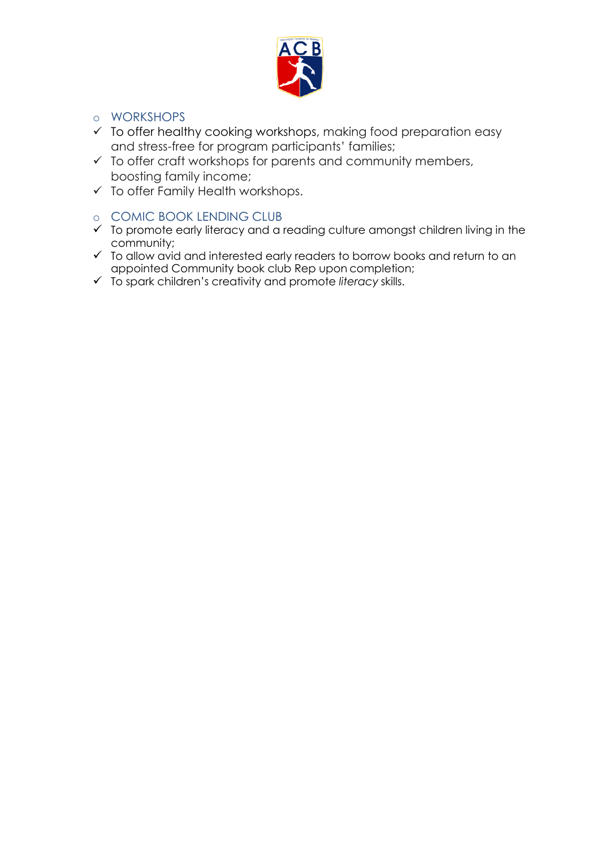

### o WORKSHOPS

- $\checkmark$  To offer healthy cooking workshops, making food preparation easy and stress-free for program participants' families;
- $\checkmark$  To offer craft workshops for parents and community members, boosting family income;
- $\checkmark$  To offer Family Health workshops.

# o COMIC BOOK LENDING CLUB

- $\checkmark$  To promote early literacy and a reading culture amongst children living in the community;
- To allow avid and interested early readers to borrow books and return to an appointed Community book club Rep upon completion;
- To spark children's creativity and promote *literacy* skills.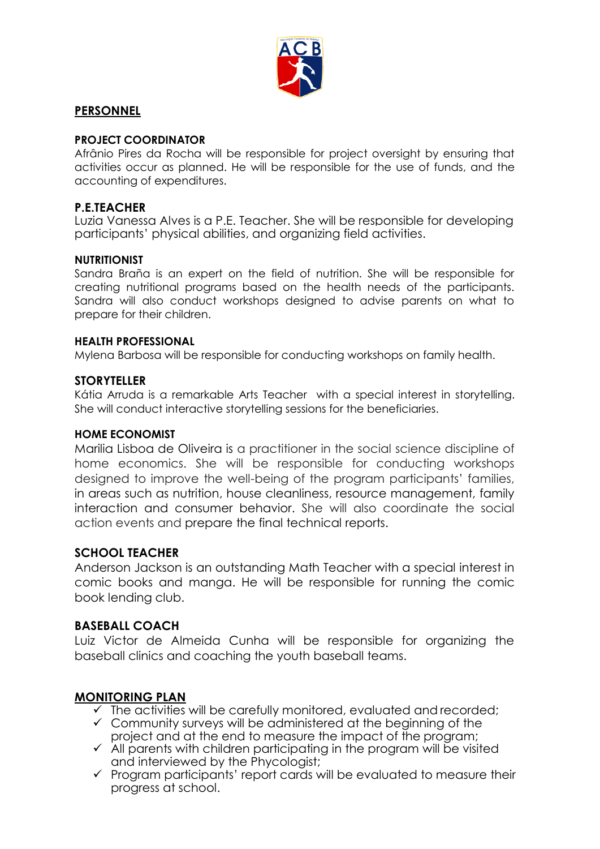

### **PERSONNEL**

#### **PROJECT COORDINATOR**

Afrânio Pires da Rocha will be responsible for project oversight by ensuring that activities occur as planned. He will be responsible for the use of funds, and the accounting of expenditures.

### **P.E.TEACHER**

Luzia Vanessa Alves is a P.E. Teacher. She will be responsible for developing participants' physical abilities, and organizing field activities.

#### **NUTRITIONIST**

Sandra Braña is an expert on the field of nutrition. She will be responsible for creating nutritional programs based on the health needs of the participants. Sandra will also conduct workshops designed to advise parents on what to prepare for their children.

#### **HEALTH PROFESSIONAL**

Mylena Barbosa will be responsible for conducting workshops on family health.

### **STORYTELLER**

Kátia Arruda is a remarkable Arts Teacher with a special interest in storytelling. She will conduct interactive storytelling sessions for the beneficiaries.

#### **HOME ECONOMIST**

Marilia Lisboa de Oliveira is a practitioner in the social science discipline of home economics. She will be responsible for conducting workshops designed to improve the well-being of the program participants' families, in areas such as nutrition, house cleanliness, resource management, family interaction and consumer behavior. She will also coordinate the social action events and prepare the final technical reports.

### **SCHOOL TEACHER**

Anderson Jackson is an outstanding Math Teacher with a special interest in comic books and manga. He will be responsible for running the comic book lending club.

### **BASEBALL COACH**

Luiz Victor de Almeida Cunha will be responsible for organizing the baseball clinics and coaching the youth baseball teams.

### **MONITORING PLAN**

- $\checkmark$  The activities will be carefully monitored, evaluated and recorded;
- $\checkmark$  Community surveys will be administered at the beginning of the project and at the end to measure the impact of the program;
- $\checkmark$  All parents with children participating in the program will be visited and interviewed by the Phycologist;
- $\checkmark$  Program participants' report cards will be evaluated to measure their progress at school.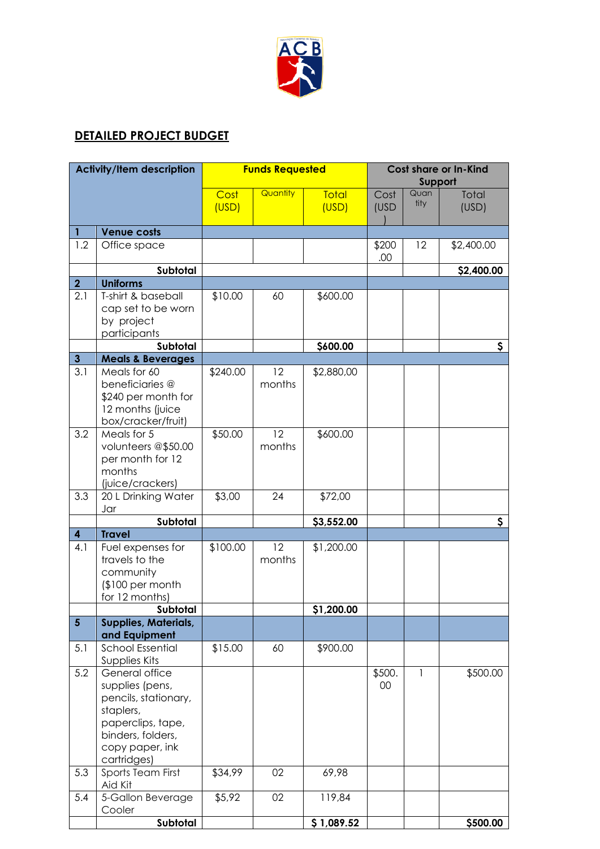

# **DETAILED PROJECT BUDGET**

| <b>Activity/Item description</b> |                                                                                                                                                                     | <b>Funds Requested</b> |              |                       | <b>Cost share or In-Kind</b><br>Support |              |                |
|----------------------------------|---------------------------------------------------------------------------------------------------------------------------------------------------------------------|------------------------|--------------|-----------------------|-----------------------------------------|--------------|----------------|
|                                  |                                                                                                                                                                     | Cost<br>(USD)          | Quantity     | <b>Total</b><br>(USD) | Cost<br>(USD                            | Quan<br>tity | Total<br>(USD) |
| $\mathbf{1}$                     | <b>Venue costs</b>                                                                                                                                                  |                        |              |                       |                                         |              |                |
| 1.2                              | Office space                                                                                                                                                        |                        |              |                       | \$200<br>.00                            | 12           | \$2,400.00     |
|                                  | Subtotal                                                                                                                                                            |                        |              |                       |                                         |              | \$2,400.00     |
| $\overline{2}$                   | <b>Uniforms</b>                                                                                                                                                     |                        |              |                       |                                         |              |                |
| 2.1                              | T-shirt & baseball<br>cap set to be worn<br>by project<br>participants                                                                                              | \$10.00                | 60           | \$600.00              |                                         |              |                |
|                                  | Subtotal                                                                                                                                                            |                        |              | \$600.00              |                                         |              | \$             |
| $\overline{\mathbf{3}}$          | <b>Meals &amp; Beverages</b>                                                                                                                                        |                        |              |                       |                                         |              |                |
| 3.1                              | Meals for 60<br>beneficiaries @<br>\$240 per month for<br>12 months (juice<br>box/cracker/fruit)                                                                    | \$240.00               | 12<br>months | \$2,880,00            |                                         |              |                |
| 3.2                              | Meals for 5<br>volunteers @\$50.00<br>per month for 12<br>months<br>(juice/crackers)                                                                                | \$50.00                | 12<br>months | \$600.00              |                                         |              |                |
| 3.3                              | 20 L Drinking Water<br>Jar                                                                                                                                          | \$3,00                 | 24           | \$72,00               |                                         |              |                |
|                                  | Subtotal                                                                                                                                                            |                        |              | \$3,552.00            |                                         |              | \$             |
| $\overline{\mathbf{4}}$          | <b>Travel</b>                                                                                                                                                       |                        |              |                       |                                         |              |                |
| 4.1                              | Fuel expenses for<br>travels to the<br>community<br>$$100$ per month<br>for 12 months)                                                                              | \$100.00               | 12<br>months | \$1,200.00            |                                         |              |                |
|                                  | Subtotal                                                                                                                                                            |                        |              | \$1,200.00            |                                         |              |                |
| $5\phantom{.}$                   | <b>Supplies, Materials,</b>                                                                                                                                         |                        |              |                       |                                         |              |                |
| 5.1                              | and Equipment<br><b>School Essential</b>                                                                                                                            | \$15.00                | 60           | \$900.00              |                                         |              |                |
| 5.2                              | Supplies Kits<br>General office<br>supplies (pens,<br>pencils, stationary,<br>staplers,<br>paperclips, tape,<br>binders, folders,<br>copy paper, ink<br>cartridges) |                        |              |                       | \$500.<br>00                            | $\mathbf{1}$ | \$500.00       |
| 5.3                              | Sports Team First<br>Aid Kit                                                                                                                                        | \$34,99                | 02           | 69,98                 |                                         |              |                |
| 5.4                              | 5-Gallon Beverage<br>Cooler                                                                                                                                         | \$5,92                 | 02           | 119,84                |                                         |              |                |
|                                  | Subtotal                                                                                                                                                            |                        |              | \$1,089.52            |                                         |              | \$500.00       |